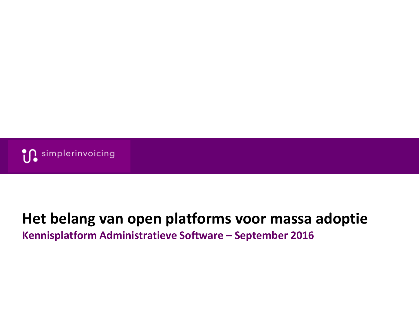

### **Het belang van open platforms voor massa adoptie Kennisplatform Administratieve Software – September 2016**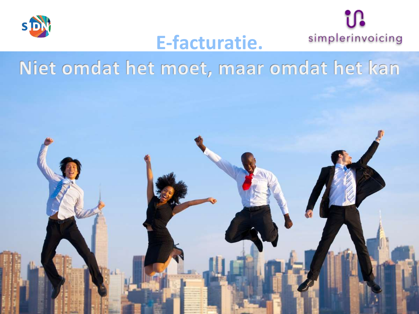



# **E-facturatie.**

Niet omdat het moet, maar omdat het kan

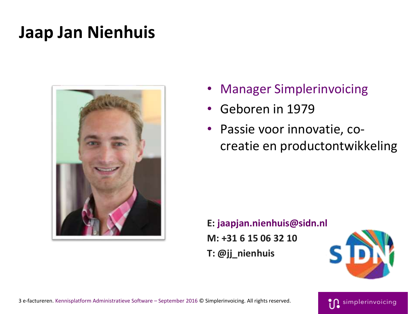# **Jaap Jan Nienhuis**



- Manager Simplerinvoicing
- Geboren in 1979
- Passie voor innovatie, cocreatie en productontwikkeling

**E: jaapjan.nienhuis@sidn.nl M: +31 6 15 06 32 10 T: @jj\_nienhuis**



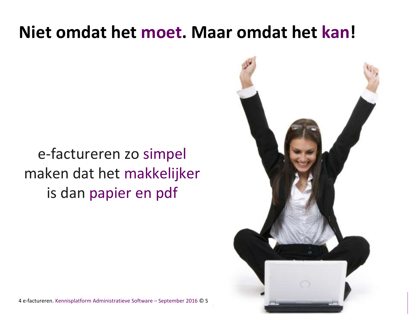# **Niet omdat het moet. Maar omdat het kan!**

# e-factureren zo simpel maken dat het makkelijker is dan papier en pdf



4 e-factureren. Kennisplatform Administratieve Software – September 2016 © S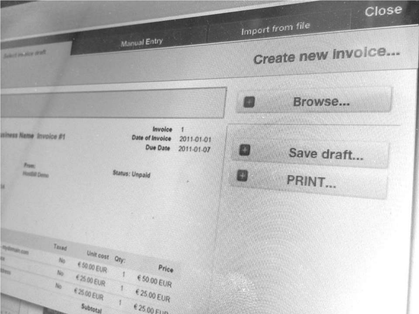

## Import from file

# **Create new Involce...**



Manual Entry

**Adolescence and**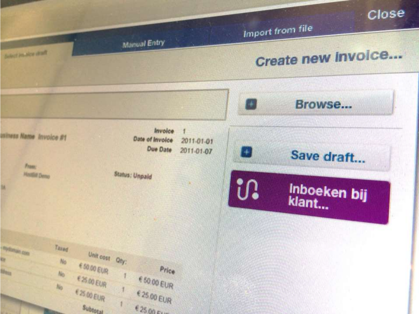

Import from file

# Create new Involce.



**Manual Entry** 

Select Joudce shaft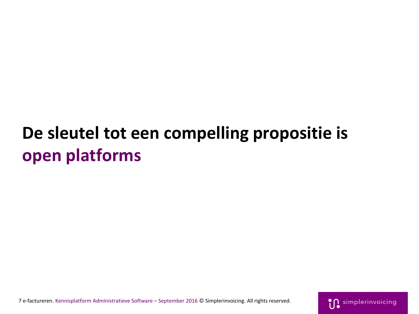# **De sleutel tot een compelling propositie is open platforms**

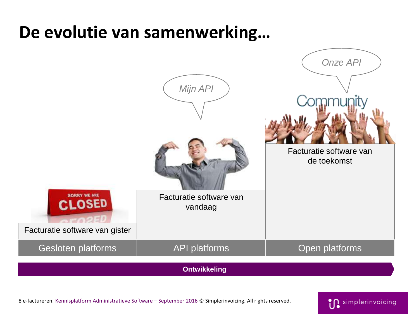# **De evolutie van samenwerking…**



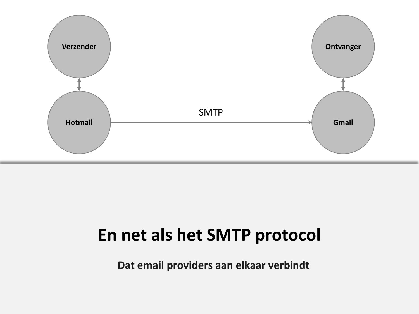

# **En net als het SMTP protocol**

**Dat email providers aan elkaar verbindt**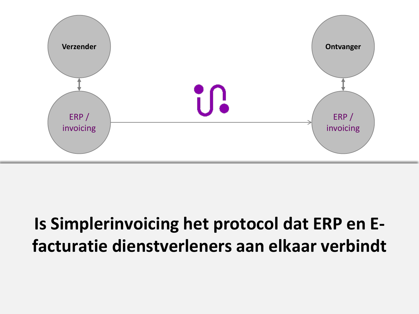

# **Is Simplerinvoicing het protocol dat ERP en Efacturatie dienstverleners aan elkaar verbindt**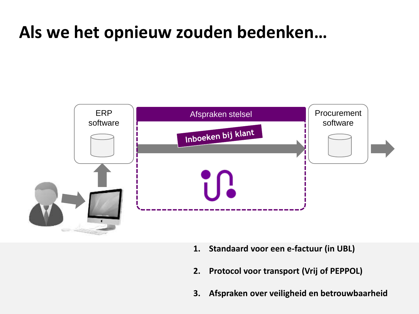# **Als we het opnieuw zouden bedenken…**



- **1. Standaard voor een e-factuur (in UBL)**
- **2. Protocol voor transport (Vrij of PEPPOL)**
- **3. Afspraken over veiligheid en betrouwbaarheid**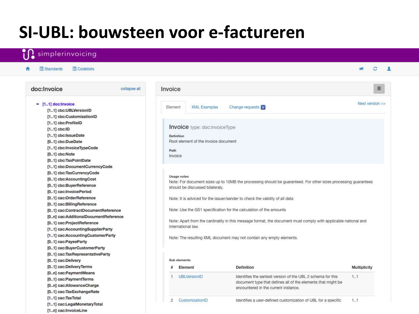# **SI-UBL: bouwsteen voor e-factureren**

#### simplerinvoicing

Codelists

Standards

٠

**PAI**  $\mathcal{Z}$  1

Ξ

Next version >>

**Multiplicity** 

 $1.1$ 

 $1.1$ 

#### doc:Invoice collapse all Invoice  $-$  [1..1] doc: Invoice Element **XML Examples** Change requests X [1..1] cbc:UBLVersionID [1..1] cbc:CustomizationID [1..1] cbc:ProfileID **Invoice** type: doc:InvoiceType  $[1..1]$  cbc:ID [1..1] cbc:IssueDate Definition [0..1] cbc:DueDate Root element of the invoice document [1..1] cbc:InvoiceTypeCode Path [0..1] cbc:Note Invoice [0..1] cbc:TaxPointDate [1..1] cbc:DocumentCurrencyCode [0..1] cbc:TaxCurrencyCode Usage notes [0..1] cbc:AccountingCost Note: For document sizes up to 10MB the processing should be guaranteed. For other sizes processing guarantees [0..1] cbc:BuyerReference should be discussed bilateraly. [0..1] cac:InvoicePeriod [0..1] cac:OrderReference Note: It is adviced for the issuer/sender to check the validity of all data [0..1] cac:BillingReference Note: Use the GS1 specification for the calculation of the amounts [0..1] cac:ContractDocumentReference [0..n] cac:AdditionalDocumentReference Note: Apart from the cardinality in this message format, the document must comply with applicable national and [0..1] cac:ProjectReference international law. [1..1] cac:AccountingSupplierParty [1..1] cac:AccountingCustomerParty Note: The resulting XML document may not contain any empty elements. [0..1] cac:PayeeParty [0..1] cac:BuyerCustomerParty [0..1] cac:TaxRepresentativeParty [0..1] cac:Delivery Sub elements [0..1] cac:DeliveryTerms Element Definition [0..n] cac:PaymentMeans **UBLVersionID** Identifies the earliest version of the UBL 2 schema for this [0..1] cac:PaymentTerms document type that defines all of the elements that might be [0..n] cac:AllowanceCharge encountered in the current instance. [0..1] cac:TaxExchangeRate [1..1] cac:TaxTotal e-factureren. The Customization ID dentifies a user-defined customization of UBL for a specific<br>[1..1] cac:LegalMonetaryTotal [1..n] cac:InvoiceLine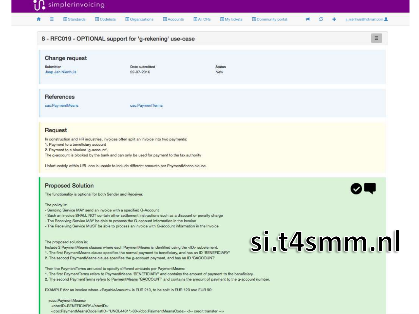#### in plerinvoicing

#### $\mathbf{A}$  $\equiv$ Standards **E** Codelists Organizations Accounts All CRs My tickets Community portal  $M$   $C$   $+$ jl\_nienhuis@hotmail.com

|                                                                                    | 8 - RFC019 - OPTIONAL support for 'g-rekening' use-case                                                                                                                                                                                                                                                                            |               | 三 |
|------------------------------------------------------------------------------------|------------------------------------------------------------------------------------------------------------------------------------------------------------------------------------------------------------------------------------------------------------------------------------------------------------------------------------|---------------|---|
| Change request                                                                     |                                                                                                                                                                                                                                                                                                                                    |               |   |
| Submitter<br>Jaap Jan Nienhuis                                                     | Date submitted<br>22-07-2016                                                                                                                                                                                                                                                                                                       | Status<br>New |   |
| References                                                                         |                                                                                                                                                                                                                                                                                                                                    |               |   |
| cac:PaymentMeans                                                                   | cac:PaymentTerms                                                                                                                                                                                                                                                                                                                   |               |   |
| Request                                                                            |                                                                                                                                                                                                                                                                                                                                    |               |   |
| 1. Payment to a beneficiary account<br>2. Payment to a blocked 'g-account'.        | In construction and HR industries, invoices often split an invoice into two payments:<br>The g-account is blocked by the bank and can only be used for payment to the tax authority                                                                                                                                                |               |   |
|                                                                                    | Unfortunately within UBL one is unable to include different amounts per PaymentMeans clause.                                                                                                                                                                                                                                       |               |   |
| <b>Proposed Solution</b>                                                           |                                                                                                                                                                                                                                                                                                                                    |               |   |
| The functionality is optional for both Sender and Receiver.                        |                                                                                                                                                                                                                                                                                                                                    |               |   |
| The policy is:<br>- Sending Service MAY send an invoice with a specified G-Account | - Such an invoice SHALL NOT contain other settlement instructions such as a discount or penalty charge<br>- The Receiving Service MAY be able to process the G-account information in the Invoice<br>- The Receiving Service MUST be able to process an invoice with G-account information in the Invoice                          |               |   |
| The proposed solution is:                                                          | Include 2 PaymentMeans clauses where each PaymentMeans is identified using the <id> subelement.<br/>1. The first PaymentMeans clause specifies the normal payment to beneficiary, and has an ID 'BENEFICIARY'<br/>2. The second PaymentMeans clause specifies the g-account payment, and has an ID 'GACCOUNT'</id>                 | si.t4smm.nl   |   |
|                                                                                    | Then the PaymentTerms are used to specify different amounts per PaymentMeans:<br>1. The first PaymentTerms refers to PaymentMeans 'BENEFICIARY' and contains the amount of payment to the beneficiary.<br>2. The second PaymentTerms refers to PaymentMeans 'GACCOUNT' and contains the amount of payment to the g-account number. |               |   |
|                                                                                    | EXAMPLE (for an invoice where <payableamount> is EUR 210, to be split in EUR 120 and EUR 90:</payableamount>                                                                                                                                                                                                                       |               |   |
| <cac:paymentmeans></cac:paymentmeans>                                              |                                                                                                                                                                                                                                                                                                                                    |               |   |
| <cbc:id>BENEFICIARY</cbc:id>                                                       | <cbc:paymentmeanscode listid="UNCL4461">30</cbc:paymentmeanscode> credit transfer                                                                                                                                                                                                                                                  |               |   |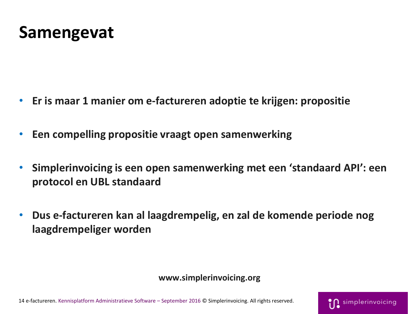## **Samengevat**

- **Er is maar 1 manier om e-factureren adoptie te krijgen: propositie**
- **Een compelling propositie vraagt open samenwerking**
- **Simplerinvoicing is een open samenwerking met een 'standaard API': een protocol en UBL standaard**
- **Dus e-factureren kan al laagdrempelig, en zal de komende periode nog laagdrempeliger worden**

#### **www.simplerinvoicing.org**